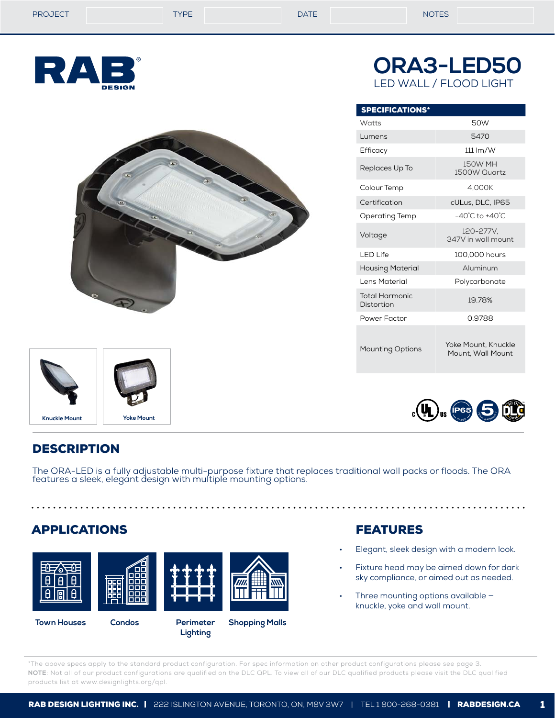| <b>PROJECT</b> | <b>TYPE</b> | <b>DATE</b> | <b>NOTES</b> |
|----------------|-------------|-------------|--------------|
|                |             |             |              |

RA

SPECIFICATIONS\*

**ORA3-LED50**

LED WALL / FLOOD LIGHT

Watts 50W Lumens 5470 Efficacy 111 lm/W Replaces Up To 150W MH

Colour Temp 4,000K Certification cULus, DLC, IP65 Operating Temp -40°C to +40°C



LED Life 100,000 hours Housing Material **Aluminum** Lens Material **Polycarbonate** Total Harmonic

Total Harmonic<br>Distortion 19.78% Power Factor **0.9788** 

Mounting Options Yoke Mount, Knuckle Mount, Wall Mount

1500W Quartz



# **DESCRIPTION**

The ORA-LED is a fully adjustable multi-purpose fixture that replaces traditional wall packs or floods. The ORA features a sleek, elegant design with multiple mounting options.

## APPLICATIONS



**Lighting**

FEATURES

- Elegant, sleek design with a modern look.
- Fixture head may be aimed down for dark sky compliance, or aimed out as needed.
- Three mounting options available knuckle, yoke and wall mount.

\*The above specs apply to the standard product configuration. For spec information on other product configurations please see page 3. **NOTE**: Not all of our product configurations are qualified on the DLC QPL. To view all of our DLC qualified products please visit the DLC qualified products list at www.designlights.org/qpl.

**Knuckle Mount Yoke Mount**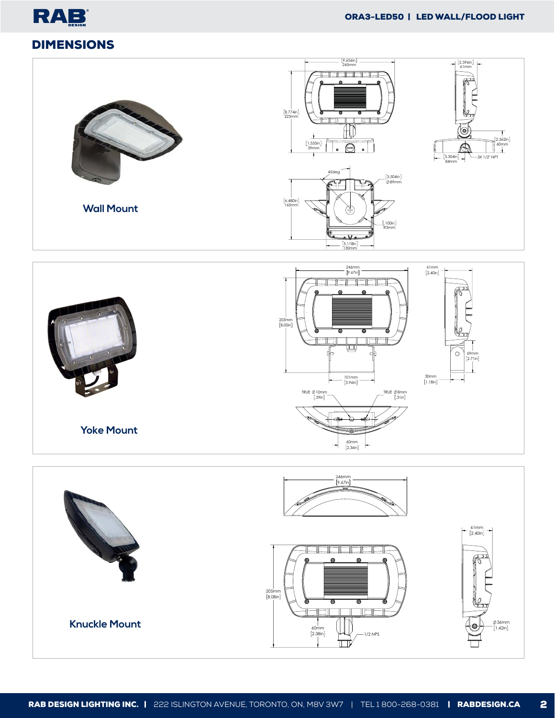







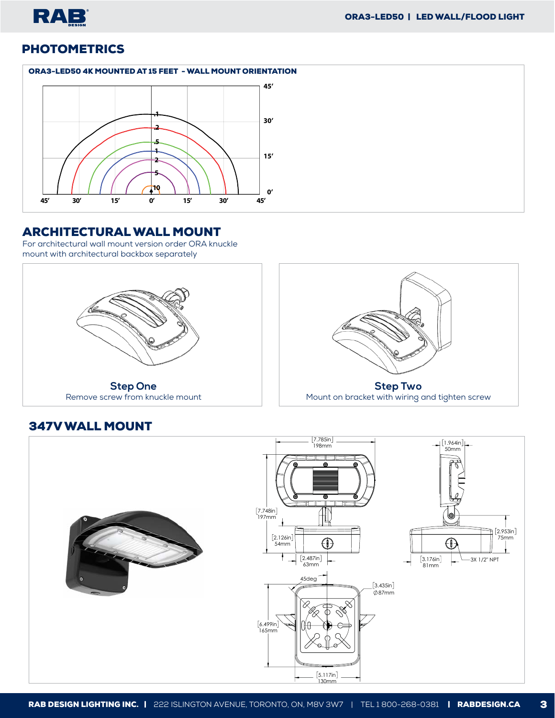

# **PHOTOMETRICS**

#### ORA3-LED50 4K MOUNTED AT 15 FEET - WALL MOUNT ORIENTATION



### ARCHITECTURAL WALL MOUNT

347V WALL MOUNT

For architectural wall mount version order ORA knuckle mount with architectural backbox separately





## 7.785in 198mm 1.964in 50mm т. 7.748in 197mm  $[2.953in]$ 75mm 2.126in 54mm  $\bigoplus$  $\bigoplus$  $[3.176in]$ 3X 1/2" NPT 2.487in 63mm 81mm 45deg  $[3.435in]$  $\emptyset$ 87mm 6.499in 165mm  $[5.117in]$ .<br>130mm